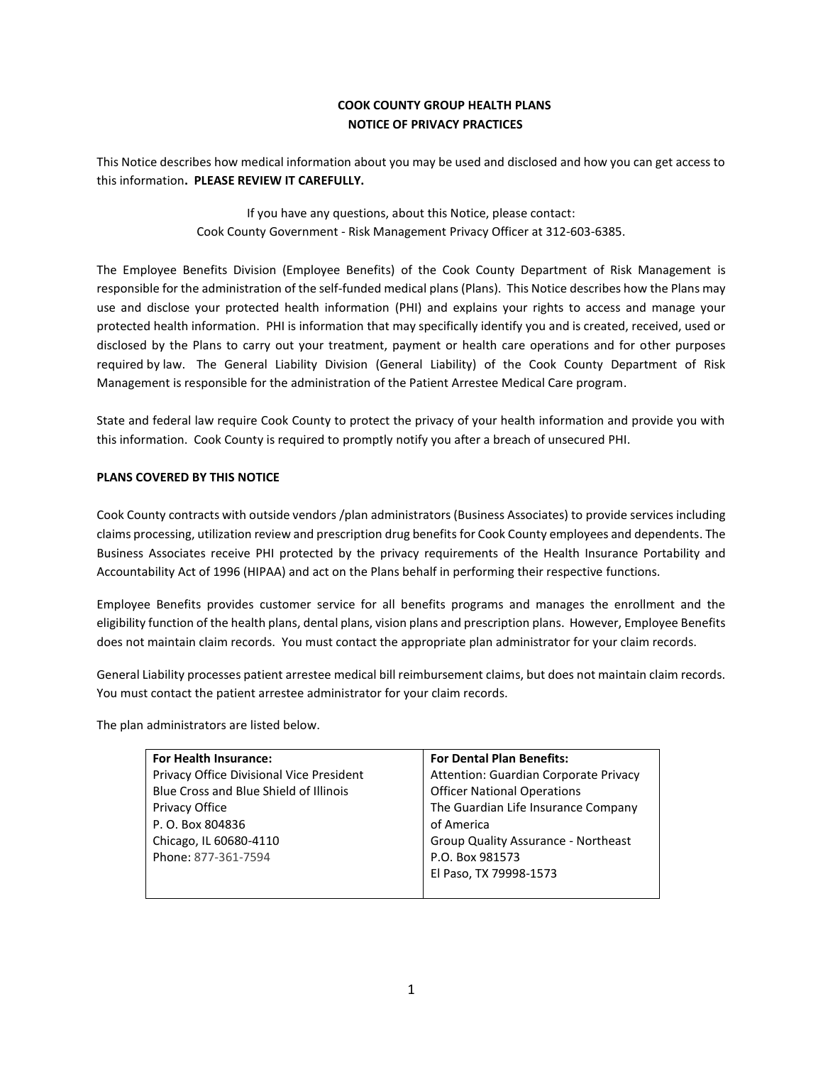# **COOK COUNTY GROUP HEALTH PLANS NOTICE OF PRIVACY PRACTICES**

This Notice describes how medical information about you may be used and disclosed and how you can get access to this information**. PLEASE REVIEW IT CAREFULLY.** 

> If you have any questions, about this Notice, please contact: Cook County Government - Risk Management Privacy Officer at 312-603-6385.

The Employee Benefits Division (Employee Benefits) of the Cook County Department of Risk Management is responsible for the administration of the self-funded medical plans (Plans). This Notice describes how the Plans may use and disclose your protected health information (PHI) and explains your rights to access and manage your protected health information. PHI is information that may specifically identify you and is created, received, used or disclosed by the Plans to carry out your treatment, payment or health care operations and for other purposes required by law. The General Liability Division (General Liability) of the Cook County Department of Risk Management is responsible for the administration of the Patient Arrestee Medical Care program.

State and federal law require Cook County to protect the privacy of your health information and provide you with this information. Cook County is required to promptly notify you after a breach of unsecured PHI.

### **PLANS COVERED BY THIS NOTICE**

Cook County contracts with outside vendors /plan administrators (Business Associates) to provide services including claims processing, utilization review and prescription drug benefits for Cook County employees and dependents. The Business Associates receive PHI protected by the privacy requirements of the Health Insurance Portability and Accountability Act of 1996 (HIPAA) and act on the Plans behalf in performing their respective functions.

Employee Benefits provides customer service for all benefits programs and manages the enrollment and the eligibility function of the health plans, dental plans, vision plans and prescription plans. However, Employee Benefits does not maintain claim records. You must contact the appropriate plan administrator for your claim records.

General Liability processes patient arrestee medical bill reimbursement claims, but does not maintain claim records. You must contact the patient arrestee administrator for your claim records.

The plan administrators are listed below.

| For Health Insurance:                    | <b>For Dental Plan Benefits:</b>      |
|------------------------------------------|---------------------------------------|
| Privacy Office Divisional Vice President | Attention: Guardian Corporate Privacy |
| Blue Cross and Blue Shield of Illinois   | <b>Officer National Operations</b>    |
| Privacy Office                           | The Guardian Life Insurance Company   |
| P. O. Box 804836                         | of America                            |
| Chicago, IL 60680-4110                   | Group Quality Assurance - Northeast   |
| Phone: 877-361-7594                      | P.O. Box 981573                       |
|                                          | El Paso, TX 79998-1573                |
|                                          |                                       |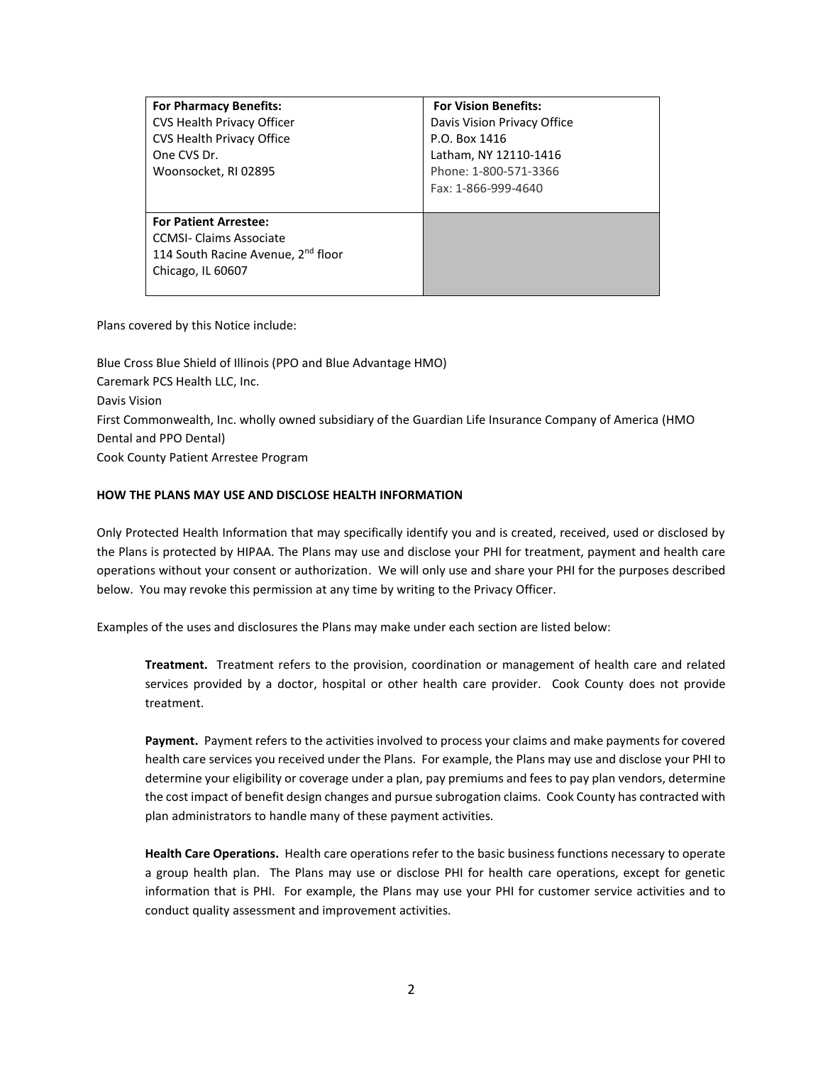| <b>For Pharmacy Benefits:</b>                  | <b>For Vision Benefits:</b> |
|------------------------------------------------|-----------------------------|
| CVS Health Privacy Officer                     | Davis Vision Privacy Office |
| CVS Health Privacy Office                      | P.O. Box 1416               |
| One CVS Dr.                                    | Latham, NY 12110-1416       |
| Woonsocket, RI 02895                           | Phone: 1-800-571-3366       |
|                                                | Fax: 1-866-999-4640         |
|                                                |                             |
| <b>For Patient Arrestee:</b>                   |                             |
| <b>CCMSI-Claims Associate</b>                  |                             |
| 114 South Racine Avenue, 2 <sup>nd</sup> floor |                             |
| Chicago, IL 60607                              |                             |
|                                                |                             |

Plans covered by this Notice include:

Blue Cross Blue Shield of Illinois (PPO and Blue Advantage HMO) Caremark PCS Health LLC, Inc. Davis Vision First Commonwealth, Inc. wholly owned subsidiary of the Guardian Life Insurance Company of America (HMO Dental and PPO Dental) Cook County Patient Arrestee Program

## **HOW THE PLANS MAY USE AND DISCLOSE HEALTH INFORMATION**

Only Protected Health Information that may specifically identify you and is created, received, used or disclosed by the Plans is protected by HIPAA. The Plans may use and disclose your PHI for treatment, payment and health care operations without your consent or authorization. We will only use and share your PHI for the purposes described below. You may revoke this permission at any time by writing to the Privacy Officer.

Examples of the uses and disclosures the Plans may make under each section are listed below:

**Treatment.** Treatment refers to the provision, coordination or management of health care and related services provided by a doctor, hospital or other health care provider. Cook County does not provide treatment.

**Payment.** Payment refers to the activities involved to process your claims and make payments for covered health care services you received under the Plans. For example, the Plans may use and disclose your PHI to determine your eligibility or coverage under a plan, pay premiums and fees to pay plan vendors, determine the cost impact of benefit design changes and pursue subrogation claims. Cook County has contracted with plan administrators to handle many of these payment activities*.* 

**Health Care Operations.** Health care operations refer to the basic business functions necessary to operate a group health plan. The Plans may use or disclose PHI for health care operations, except for genetic information that is PHI. For example, the Plans may use your PHI for customer service activities and to conduct quality assessment and improvement activities.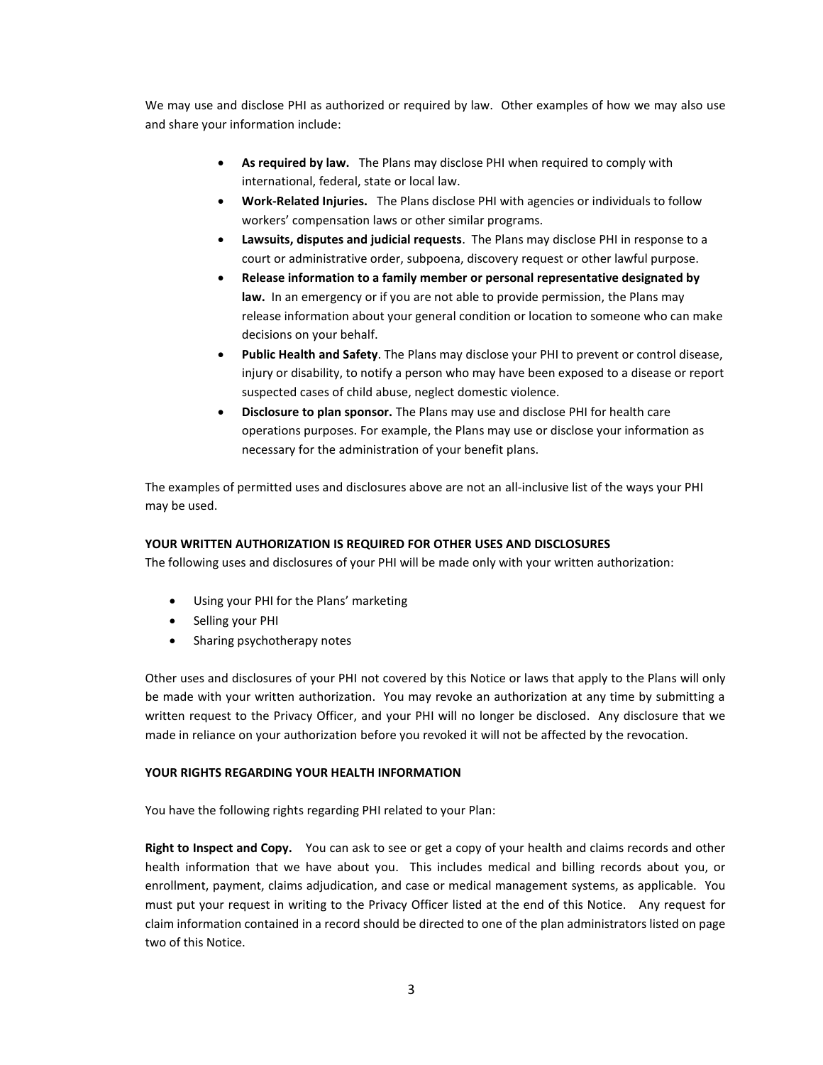We may use and disclose PHI as authorized or required by law. Other examples of how we may also use and share your information include:

- **As required by law.** The Plans may disclose PHI when required to comply with international, federal, state or local law.
- **Work-Related Injuries.** The Plans disclose PHI with agencies or individuals to follow workers' compensation laws or other similar programs.
- **Lawsuits, disputes and judicial requests**. The Plans may disclose PHI in response to a court or administrative order, subpoena, discovery request or other lawful purpose.
- **Release information to a family member or personal representative designated by law.** In an emergency or if you are not able to provide permission, the Plans may release information about your general condition or location to someone who can make decisions on your behalf.
- **Public Health and Safety**. The Plans may disclose your PHI to prevent or control disease, injury or disability, to notify a person who may have been exposed to a disease or report suspected cases of child abuse, neglect domestic violence.
- **Disclosure to plan sponsor.** The Plans may use and disclose PHI for health care operations purposes. For example, the Plans may use or disclose your information as necessary for the administration of your benefit plans.

The examples of permitted uses and disclosures above are not an all-inclusive list of the ways your PHI may be used.

## **YOUR WRITTEN AUTHORIZATION IS REQUIRED FOR OTHER USES AND DISCLOSURES**

The following uses and disclosures of your PHI will be made only with your written authorization:

- Using your PHI for the Plans' marketing
- Selling your PHI
- Sharing psychotherapy notes

Other uses and disclosures of your PHI not covered by this Notice or laws that apply to the Plans will only be made with your written authorization. You may revoke an authorization at any time by submitting a written request to the Privacy Officer, and your PHI will no longer be disclosed. Any disclosure that we made in reliance on your authorization before you revoked it will not be affected by the revocation.

#### **YOUR RIGHTS REGARDING YOUR HEALTH INFORMATION**

You have the following rights regarding PHI related to your Plan:

**Right to Inspect and Copy.** You can ask to see or get a copy of your health and claims records and other health information that we have about you. This includes medical and billing records about you, or enrollment, payment, claims adjudication, and case or medical management systems, as applicable. You must put your request in writing to the Privacy Officer listed at the end of this Notice. Any request for claim information contained in a record should be directed to one of the plan administrators listed on page two of this Notice.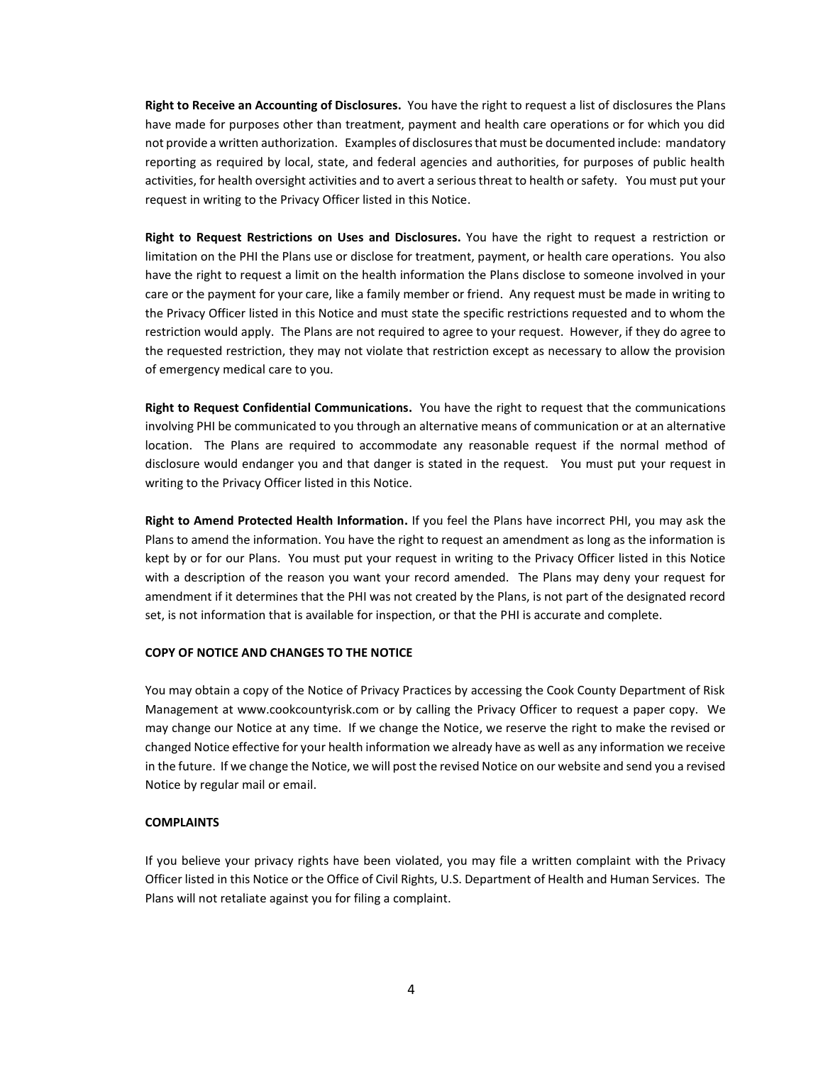**Right to Receive an Accounting of Disclosures.** You have the right to request a list of disclosures the Plans have made for purposes other than treatment, payment and health care operations or for which you did not provide a written authorization. Examples of disclosures that must be documented include: mandatory reporting as required by local, state, and federal agencies and authorities, for purposes of public health activities, for health oversight activities and to avert a serious threat to health or safety. You must put your request in writing to the Privacy Officer listed in this Notice.

**Right to Request Restrictions on Uses and Disclosures.** You have the right to request a restriction or limitation on the PHI the Plans use or disclose for treatment, payment, or health care operations. You also have the right to request a limit on the health information the Plans disclose to someone involved in your care or the payment for your care, like a family member or friend. Any request must be made in writing to the Privacy Officer listed in this Notice and must state the specific restrictions requested and to whom the restriction would apply. The Plans are not required to agree to your request. However, if they do agree to the requested restriction, they may not violate that restriction except as necessary to allow the provision of emergency medical care to you.

**Right to Request Confidential Communications.** You have the right to request that the communications involving PHI be communicated to you through an alternative means of communication or at an alternative location. The Plans are required to accommodate any reasonable request if the normal method of disclosure would endanger you and that danger is stated in the request. You must put your request in writing to the Privacy Officer listed in this Notice.

**Right to Amend Protected Health Information.** If you feel the Plans have incorrect PHI, you may ask the Plans to amend the information. You have the right to request an amendment as long as the information is kept by or for our Plans. You must put your request in writing to the Privacy Officer listed in this Notice with a description of the reason you want your record amended. The Plans may deny your request for amendment if it determines that the PHI was not created by the Plans, is not part of the designated record set, is not information that is available for inspection, or that the PHI is accurate and complete.

#### **COPY OF NOTICE AND CHANGES TO THE NOTICE**

You may obtain a copy of the Notice of Privacy Practices by accessing the Cook County Department of Risk Management at www.cookcountyrisk.com or by calling the Privacy Officer to request a paper copy. We may change our Notice at any time. If we change the Notice, we reserve the right to make the revised or changed Notice effective for your health information we already have as well as any information we receive in the future. If we change the Notice, we will post the revised Notice on our website and send you a revised Notice by regular mail or email.

#### **COMPLAINTS**

If you believe your privacy rights have been violated, you may file a written complaint with the Privacy Officer listed in this Notice or the Office of Civil Rights, U.S. Department of Health and Human Services. The Plans will not retaliate against you for filing a complaint.